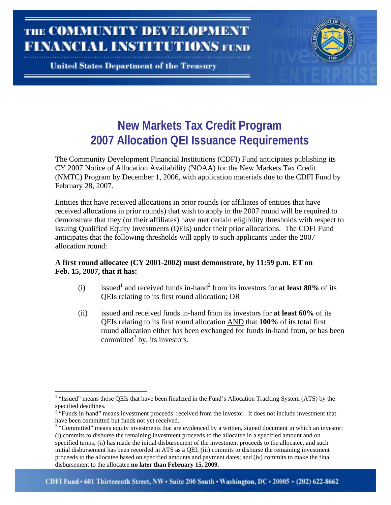**THE COMMUNITY DEVELOPMENT** FINANCIAL INSTITUTIONS FUND

**United States Department of the Treasury** 

 $\overline{a}$ 

# **New Markets Tax Credit Program 2007 Allocation QEI Issuance Requirements**

The Community Development Financial Institutions (CDFI) Fund anticipates publishing its CY 2007 Notice of Allocation Availability (NOAA) for the New Markets Tax Credit (NMTC) Program by December 1, 2006, with application materials due to the CDFI Fund by February 28, 2007.

Entities that have received allocations in prior rounds (or affiliates of entities that have received allocations in prior rounds) that wish to apply in the 2007 round will be required to demonstrate that they (or their affiliates) have met certain eligibility thresholds with respect to issuing Qualified Equity Investments (QEIs) under their prior allocations. The CDFI Fund anticipates that the following thresholds will apply to such applicants under the 2007 allocation round:

# **A first round allocatee (CY 2001-2002) must demonstrate, by 11:59 p.m. ET on Feb. 15, 2007, that it has:**

- (i) issued<sup>1</sup> and received funds in-hand<sup>[2](#page-0-1)</sup> from its investors for **at least 80%** of its QEIs relating to its first round allocation; OR
- (ii) issued and received funds in-hand from its investors for **at least 60%** of its QEIs relating to its first round allocation AND that **100%** of its total first round allocation either has been exchanged for funds in-hand from, or has been committed<sup>[3](#page-0-2)</sup> by, its investors.

<span id="page-0-0"></span><sup>&</sup>lt;sup>1</sup> "Issued" means those QEIs that have been finalized in the Fund's Allocation Tracking System (ATS) by the specified deadlines.

<span id="page-0-1"></span><sup>&</sup>lt;sup>2</sup> "Funds in-hand" means investment proceeds received from the investor. It does not include investment that have been committed but funds not yet received.

<span id="page-0-2"></span><sup>&</sup>quot;Committed" means equity investments that are evidenced by a written, signed document in which an investor: (i) commits to disburse the remaining investment proceeds to the allocatee in a specified amount and on specified terms; (ii) has made the initial disbursement of the investment proceeds to the allocatee, and such initial disbursement has been recorded in ATS as a QEI; (iii) commits to disburse the remaining investment proceeds to the allocatee based on specified amounts and payment dates; and (iv) commits to make the final disbursement to the allocatee **no later than February 15, 2009**.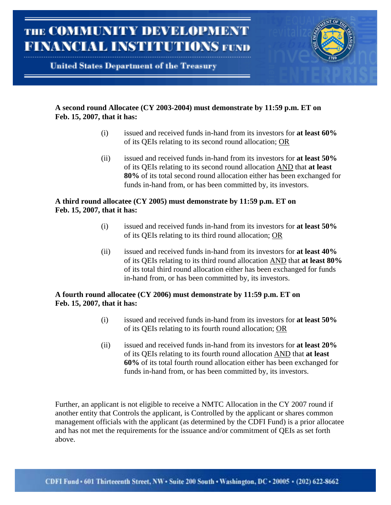

### **A second round Allocatee (CY 2003-2004) must demonstrate by 11:59 p.m. ET on Feb. 15, 2007, that it has:**

- (i) issued and received funds in-hand from its investors for **at least 60%** of its QEIs relating to its second round allocation; OR
- (ii) issued and received funds in-hand from its investors for **at least 50%** of its QEIs relating to its second round allocation AND that **at least 80%** of its total second round allocation either has been exchanged for funds in-hand from, or has been committed by, its investors.

### **A third round allocatee (CY 2005) must demonstrate by 11:59 p.m. ET on Feb. 15, 2007, that it has:**

- (i) issued and received funds in-hand from its investors for **at least 50%** of its QEIs relating to its third round allocation; OR
- (ii) issued and received funds in-hand from its investors for **at least 40%** of its QEIs relating to its third round allocation AND that **at least 80%** of its total third round allocation either has been exchanged for funds in-hand from, or has been committed by, its investors.

# **A fourth round allocatee (CY 2006) must demonstrate by 11:59 p.m. ET on Feb. 15, 2007, that it has:**

- (i) issued and received funds in-hand from its investors for **at least 50%** of its QEIs relating to its fourth round allocation; OR
- (ii) issued and received funds in-hand from its investors for **at least 20%** of its QEIs relating to its fourth round allocation AND that **at least 60%** of its total fourth round allocation either has been exchanged for funds in-hand from, or has been committed by, its investors.

Further, an applicant is not eligible to receive a NMTC Allocation in the CY 2007 round if another entity that Controls the applicant, is Controlled by the applicant or shares common management officials with the applicant (as determined by the CDFI Fund) is a prior allocatee and has not met the requirements for the issuance and/or commitment of QEIs as set forth above.